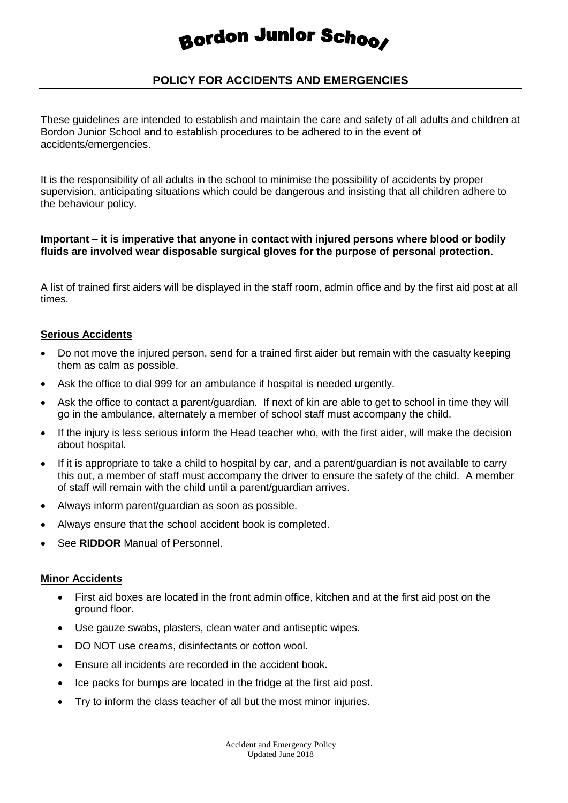# Bordon Junior Schoos

# **POLICY FOR ACCIDENTS AND EMERGENCIES**

These guidelines are intended to establish and maintain the care and safety of all adults and children at Bordon Junior School and to establish procedures to be adhered to in the event of accidents/emergencies.

It is the responsibility of all adults in the school to minimise the possibility of accidents by proper supervision, anticipating situations which could be dangerous and insisting that all children adhere to the behaviour policy.

### **Important – it is imperative that anyone in contact with injured persons where blood or bodily fluids are involved wear disposable surgical gloves for the purpose of personal protection**.

A list of trained first aiders will be displayed in the staff room, admin office and by the first aid post at all times.

#### **Serious Accidents**

- Do not move the injured person, send for a trained first aider but remain with the casualty keeping them as calm as possible.
- Ask the office to dial 999 for an ambulance if hospital is needed urgently.
- Ask the office to contact a parent/guardian. If next of kin are able to get to school in time they will go in the ambulance, alternately a member of school staff must accompany the child.
- If the injury is less serious inform the Head teacher who, with the first aider, will make the decision about hospital.
- If it is appropriate to take a child to hospital by car, and a parent/guardian is not available to carry this out, a member of staff must accompany the driver to ensure the safety of the child. A member of staff will remain with the child until a parent/guardian arrives.
- Always inform parent/guardian as soon as possible.
- Always ensure that the school accident book is completed.
- See **RIDDOR** Manual of Personnel.

#### **Minor Accidents**

- First aid boxes are located in the front admin office, kitchen and at the first aid post on the ground floor.
- Use gauze swabs, plasters, clean water and antiseptic wipes.
- DO NOT use creams, disinfectants or cotton wool.
- Ensure all incidents are recorded in the accident book.
- Ice packs for bumps are located in the fridge at the first aid post.
- Try to inform the class teacher of all but the most minor injuries.